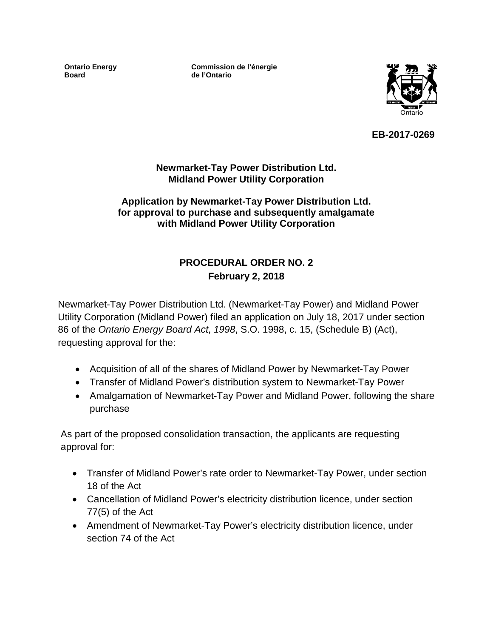**Ontario Energy Board**

**Commission de l'énergie de l'Ontario**



**EB-2017-0269**

#### **Newmarket-Tay Power Distribution Ltd. Midland Power Utility Corporation**

#### **Application by Newmarket-Tay Power Distribution Ltd. for approval to purchase and subsequently amalgamate with Midland Power Utility Corporation**

# **PROCEDURAL ORDER NO. 2 February 2, 2018**

Newmarket-Tay Power Distribution Ltd. (Newmarket-Tay Power) and Midland Power Utility Corporation (Midland Power) filed an application on July 18, 2017 under section 86 of the *Ontario Energy Board Act*, *1998*, S.O. 1998, c. 15, (Schedule B) (Act), requesting approval for the:

- Acquisition of all of the shares of Midland Power by Newmarket-Tay Power
- Transfer of Midland Power's distribution system to Newmarket-Tay Power
- Amalgamation of Newmarket-Tay Power and Midland Power, following the share purchase

As part of the proposed consolidation transaction, the applicants are requesting approval for:

- Transfer of Midland Power's rate order to Newmarket-Tay Power, under section 18 of the Act
- Cancellation of Midland Power's electricity distribution licence, under section 77(5) of the Act
- Amendment of Newmarket-Tay Power's electricity distribution licence, under section 74 of the Act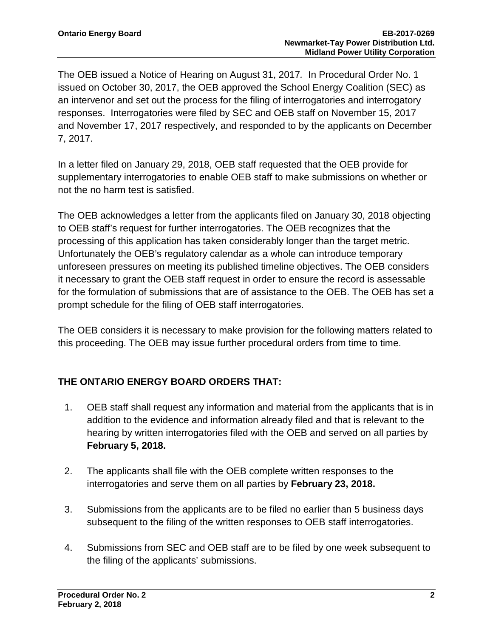The OEB issued a Notice of Hearing on August 31, 2017*.* In Procedural Order No. 1 issued on October 30, 2017, the OEB approved the School Energy Coalition (SEC) as an intervenor and set out the process for the filing of interrogatories and interrogatory responses. Interrogatories were filed by SEC and OEB staff on November 15, 2017 and November 17, 2017 respectively, and responded to by the applicants on December 7, 2017.

In a letter filed on January 29, 2018, OEB staff requested that the OEB provide for supplementary interrogatories to enable OEB staff to make submissions on whether or not the no harm test is satisfied.

The OEB acknowledges a letter from the applicants filed on January 30, 2018 objecting to OEB staff's request for further interrogatories. The OEB recognizes that the processing of this application has taken considerably longer than the target metric. Unfortunately the OEB's regulatory calendar as a whole can introduce temporary unforeseen pressures on meeting its published timeline objectives. The OEB considers it necessary to grant the OEB staff request in order to ensure the record is assessable for the formulation of submissions that are of assistance to the OEB. The OEB has set a prompt schedule for the filing of OEB staff interrogatories.

The OEB considers it is necessary to make provision for the following matters related to this proceeding. The OEB may issue further procedural orders from time to time.

# **THE ONTARIO ENERGY BOARD ORDERS THAT:**

- 1. OEB staff shall request any information and material from the applicants that is in addition to the evidence and information already filed and that is relevant to the hearing by written interrogatories filed with the OEB and served on all parties by **February 5, 2018.**
- 2. The applicants shall file with the OEB complete written responses to the interrogatories and serve them on all parties by **February 23, 2018.**
- 3. Submissions from the applicants are to be filed no earlier than 5 business days subsequent to the filing of the written responses to OEB staff interrogatories.
- 4. Submissions from SEC and OEB staff are to be filed by one week subsequent to the filing of the applicants' submissions.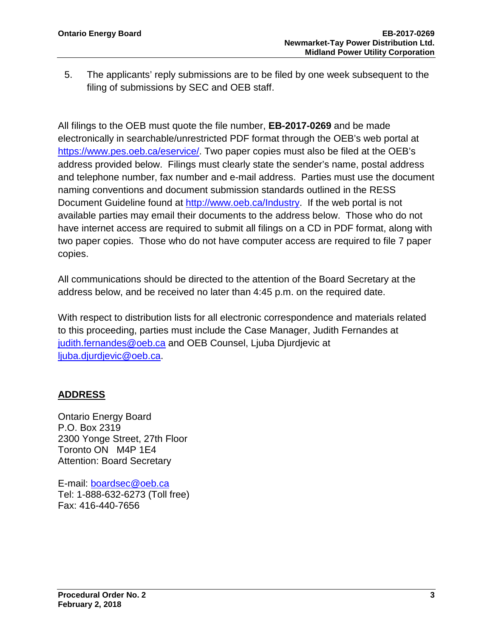5. The applicants' reply submissions are to be filed by one week subsequent to the filing of submissions by SEC and OEB staff.

All filings to the OEB must quote the file number, **EB-2017-0269** and be made electronically in searchable/unrestricted PDF format through the OEB's web portal at [https://www.pes.oeb.ca/eservice/.](https://www.pes.oeb.ca/eservice/) Two paper copies must also be filed at the OEB's address provided below. Filings must clearly state the sender's name, postal address and telephone number, fax number and e-mail address. Parties must use the document naming conventions and document submission standards outlined in the RESS Document Guideline found at [http://www.oeb.ca/Industry.](http://www.oeb.ca/Industry) If the web portal is not available parties may email their documents to the address below. Those who do not have internet access are required to submit all filings on a CD in PDF format, along with two paper copies. Those who do not have computer access are required to file 7 paper copies.

All communications should be directed to the attention of the Board Secretary at the address below, and be received no later than 4:45 p.m. on the required date.

With respect to distribution lists for all electronic correspondence and materials related to this proceeding, parties must include the Case Manager, Judith Fernandes at [judith.fernandes@oeb.ca](mailto:judith.fernandes@oeb.ca) and OEB Counsel, Ljuba Djurdjevic at [ljuba.djurdjevic@oeb.ca.](mailto:ljuba.djurdjevic@oeb.ca)

### **ADDRESS**

Ontario Energy Board P.O. Box 2319 2300 Yonge Street, 27th Floor Toronto ON M4P 1E4 Attention: Board Secretary

E-mail: [boardsec@oeb.ca](mailto:boardsec@oeb.ca) Tel: 1-888-632-6273 (Toll free) Fax: 416-440-7656